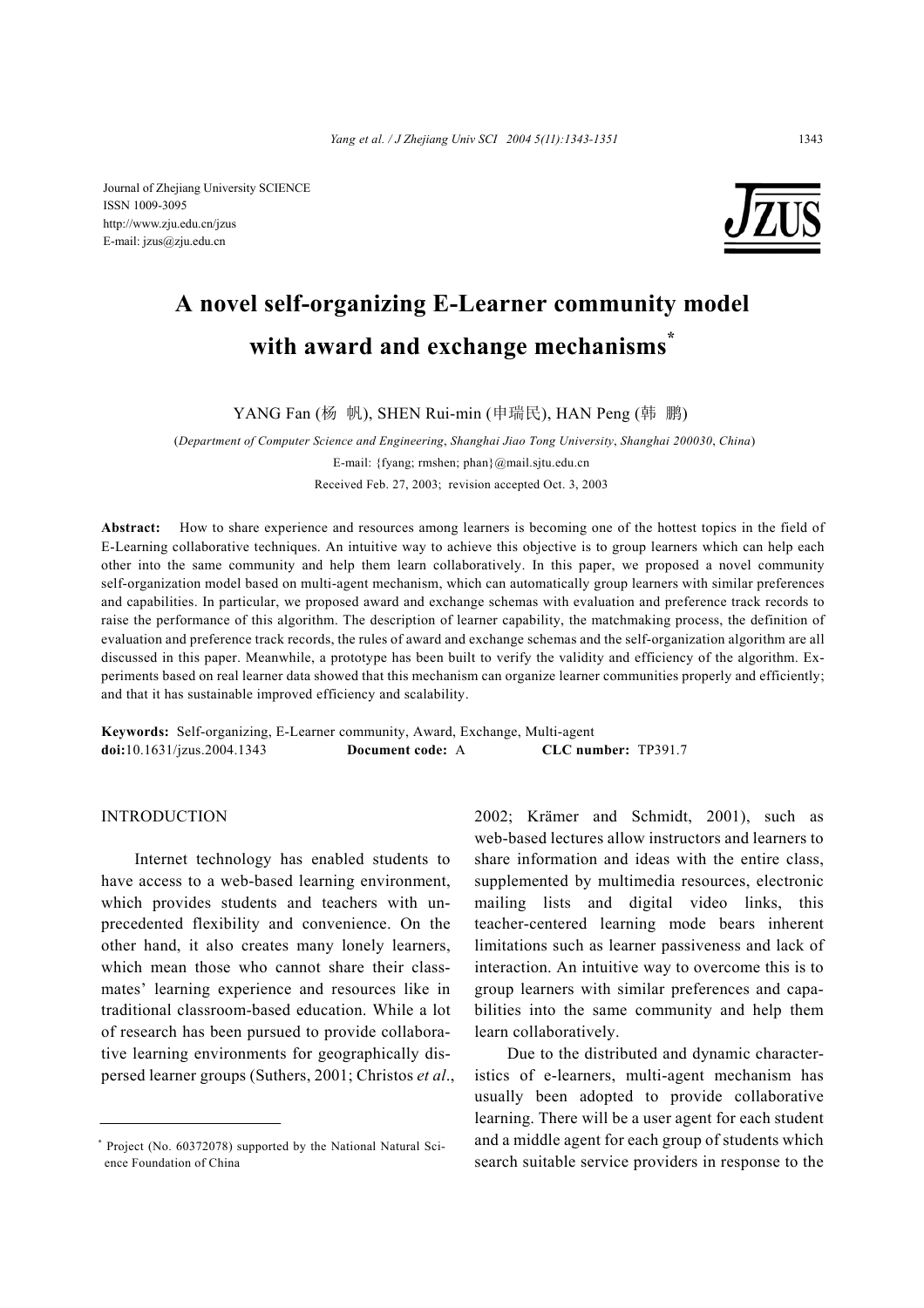Journal of Zhejiang University SCIENCE ISSN 1009-3095 http://www.zju.edu.cn/jzus E-mail: jzus@zju.edu.cn



# **A novel self-organizing E-Learner community model with award and exchange mechanisms\***

YANG Fan (杨 帆), SHEN Rui-min (申瑞民), HAN Peng (韩 鹏)

(*Department of Computer Science and Engineering*, *Shanghai Jiao Tong University*, *Shanghai 200030*, *China*) E-mail: {fyang; rmshen; phan}@mail.sjtu.edu.cn Received Feb. 27, 2003; revision accepted Oct. 3, 2003

**Abstract:** How to share experience and resources among learners is becoming one of the hottest topics in the field of E-Learning collaborative techniques. An intuitive way to achieve this objective is to group learners which can help each other into the same community and help them learn collaboratively. In this paper, we proposed a novel community self-organization model based on multi-agent mechanism, which can automatically group learners with similar preferences and capabilities. In particular, we proposed award and exchange schemas with evaluation and preference track records to raise the performance of this algorithm. The description of learner capability, the matchmaking process, the definition of evaluation and preference track records, the rules of award and exchange schemas and the self-organization algorithm are all discussed in this paper. Meanwhile, a prototype has been built to verify the validity and efficiency of the algorithm. Experiments based on real learner data showed that this mechanism can organize learner communities properly and efficiently; and that it has sustainable improved efficiency and scalability.

**Keywords:** Self-organizing, E-Learner community, Award, Exchange, Multi-agent **doi:**10.1631/jzus.2004.1343 **Document code:** A **CLC number:** TP391.7

#### INTRODUCTION

Internet technology has enabled students to have access to a web-based learning environment, which provides students and teachers with unprecedented flexibility and convenience. On the other hand, it also creates many lonely learners, which mean those who cannot share their classmates' learning experience and resources like in traditional classroom-based education. While a lot of research has been pursued to provide collaborative learning environments for geographically dispersed learner groups (Suthers, 2001; Christos *et al*., 2002; Krämer and Schmidt, 2001), such as web-based lectures allow instructors and learners to share information and ideas with the entire class, supplemented by multimedia resources, electronic mailing lists and digital video links, this teacher-centered learning mode bears inherent limitations such as learner passiveness and lack of interaction. An intuitive way to overcome this is to group learners with similar preferences and capabilities into the same community and help them learn collaboratively.

Due to the distributed and dynamic characteristics of e-learners, multi-agent mechanism has usually been adopted to provide collaborative learning. There will be a user agent for each student and a middle agent for each group of students which search suitable service providers in response to the

<sup>\*</sup> Project (No. 60372078) supported by the National Natural Science Foundation of China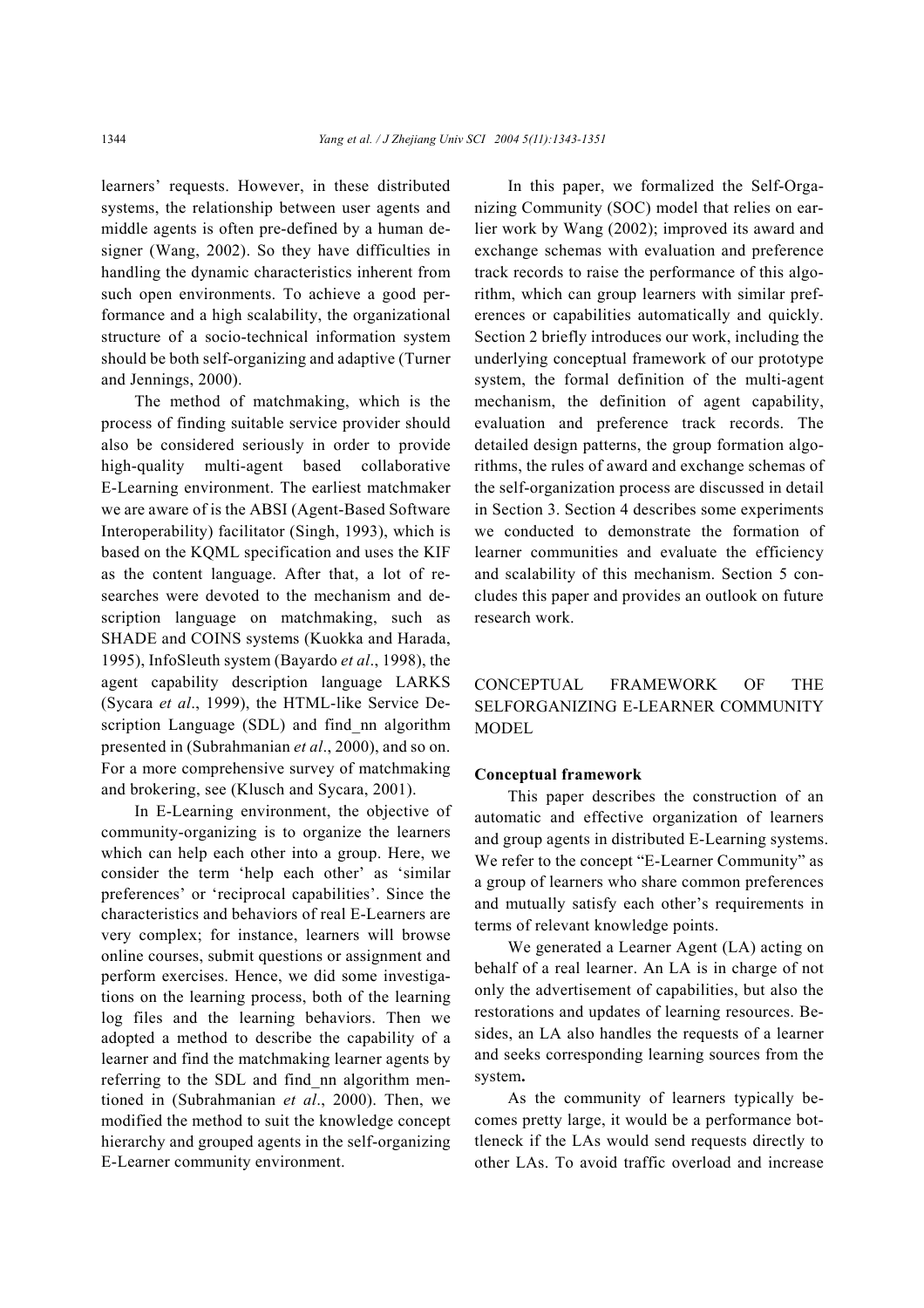learners' requests. However, in these distributed systems, the relationship between user agents and middle agents is often pre-defined by a human designer (Wang, 2002). So they have difficulties in handling the dynamic characteristics inherent from such open environments. To achieve a good performance and a high scalability, the organizational structure of a socio-technical information system should be both self-organizing and adaptive (Turner and Jennings, 2000).

The method of matchmaking, which is the process of finding suitable service provider should also be considered seriously in order to provide high-quality multi-agent based collaborative E-Learning environment. The earliest matchmaker we are aware of is the ABSI (Agent-Based Software Interoperability) facilitator (Singh, 1993), which is based on the KQML specification and uses the KIF as the content language. After that, a lot of researches were devoted to the mechanism and description language on matchmaking, such as SHADE and COINS systems (Kuokka and Harada, 1995), InfoSleuth system (Bayardo *et al*., 1998), the agent capability description language LARKS (Sycara *et al*., 1999), the HTML-like Service Description Language (SDL) and find nn algorithm presented in (Subrahmanian *et al*., 2000), and so on. For a more comprehensive survey of matchmaking and brokering, see (Klusch and Sycara, 2001).

In E-Learning environment, the objective of community-organizing is to organize the learners which can help each other into a group. Here, we consider the term 'help each other' as 'similar preferences' or 'reciprocal capabilities'. Since the characteristics and behaviors of real E-Learners are very complex; for instance, learners will browse online courses, submit questions or assignment and perform exercises. Hence, we did some investigations on the learning process, both of the learning log files and the learning behaviors. Then we adopted a method to describe the capability of a learner and find the matchmaking learner agents by referring to the SDL and find\_nn algorithm mentioned in (Subrahmanian *et al*., 2000). Then, we modified the method to suit the knowledge concept hierarchy and grouped agents in the self-organizing E-Learner community environment.

In this paper, we formalized the Self-Organizing Community (SOC) model that relies on earlier work by Wang (2002); improved its award and exchange schemas with evaluation and preference track records to raise the performance of this algorithm, which can group learners with similar preferences or capabilities automatically and quickly. Section 2 briefly introduces our work, including the underlying conceptual framework of our prototype system, the formal definition of the multi-agent mechanism, the definition of agent capability, evaluation and preference track records. The detailed design patterns, the group formation algorithms, the rules of award and exchange schemas of the self-organization process are discussed in detail in Section 3. Section 4 describes some experiments we conducted to demonstrate the formation of learner communities and evaluate the efficiency and scalability of this mechanism. Section 5 concludes this paper and provides an outlook on future research work.

CONCEPTUAL FRAMEWORK OF THE SELFORGANIZING E-LEARNER COMMUNITY MODEL

#### **Conceptual framework**

This paper describes the construction of an automatic and effective organization of learners and group agents in distributed E-Learning systems. We refer to the concept "E-Learner Community" as a group of learners who share common preferences and mutually satisfy each other's requirements in terms of relevant knowledge points.

We generated a Learner Agent (LA) acting on behalf of a real learner. An LA is in charge of not only the advertisement of capabilities, but also the restorations and updates of learning resources. Besides, an LA also handles the requests of a learner and seeks corresponding learning sources from the system**.** 

As the community of learners typically becomes pretty large, it would be a performance bottleneck if the LAs would send requests directly to other LAs. To avoid traffic overload and increase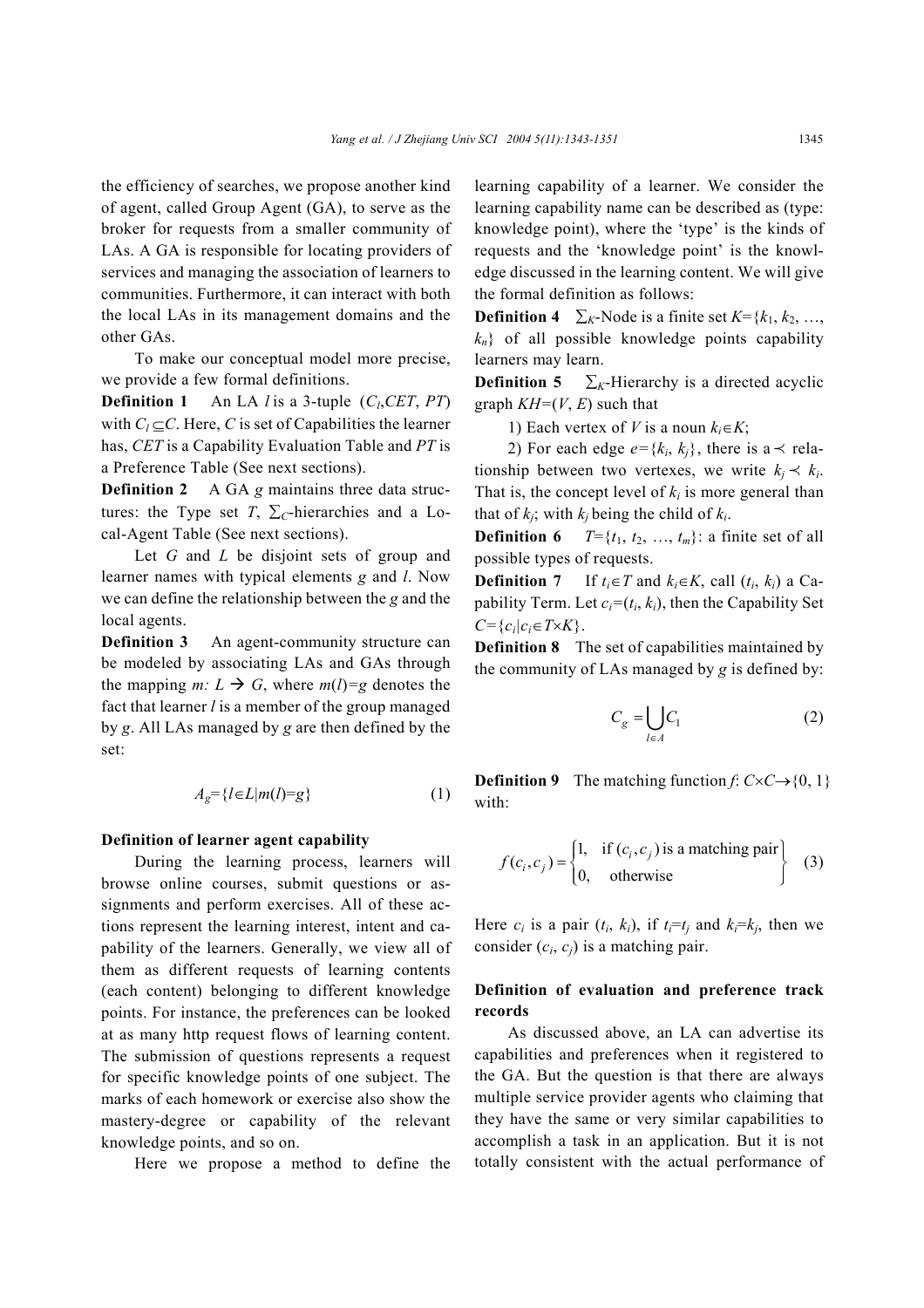the efficiency of searches, we propose another kind of agent, called Group Agent (GA), to serve as the broker for requests from a smaller community of LAs. A GA is responsible for locating providers of services and managing the association of learners to communities. Furthermore, it can interact with both the local LAs in its management domains and the other GAs.

To make our conceptual model more precise, we provide a few formal definitions.

**Definition 1** An LA *l* is a 3-tuple  $(C_l, CET, PT)$ with  $C_l \subseteq C$ . Here, *C* is set of Capabilities the learner has, *CET* is a Capability Evaluation Table and *PT* is a Preference Table (See next sections).

**Definition 2** A GA *g* maintains three data structures: the Type set *T*,  $\Sigma_c$ -hierarchies and a Local-Agent Table (See next sections).

Let *G* and *L* be disjoint sets of group and learner names with typical elements *g* and *l*. Now we can define the relationship between the *g* and the local agents.

**Definition 3** An agent-community structure can be modeled by associating LAs and GAs through the mapping  $m: L \rightarrow G$ , where  $m(l)=g$  denotes the fact that learner *l* is a member of the group managed by *g*. All LAs managed by *g* are then defined by the set:

$$
A_g = \{l \in L | m(l) = g\} \tag{1}
$$

#### **Definition of learner agent capability**

During the learning process, learners will browse online courses, submit questions or assignments and perform exercises. All of these actions represent the learning interest, intent and capability of the learners. Generally, we view all of them as different requests of learning contents (each content) belonging to different knowledge points. For instance, the preferences can be looked at as many http request flows of learning content. The submission of questions represents a request for specific knowledge points of one subject. The marks of each homework or exercise also show the mastery-degree or capability of the relevant knowledge points, and so on.

Here we propose a method to define the

learning capability of a learner. We consider the learning capability name can be described as (type: knowledge point), where the 'type' is the kinds of requests and the 'knowledge point' is the knowledge discussed in the learning content. We will give the formal definition as follows:

**Definition 4**  $\Sigma_K$ -Node is a finite set  $K = \{k_1, k_2, \ldots, k_m\}$  $k_n$ } of all possible knowledge points capability learners may learn.

**Definition 5**  $\Sigma_K$ -Hierarchy is a directed acyclic graph  $KH=(V, E)$  such that

1) Each vertex of *V* is a noun  $k_i \in K$ ;

2) For each edge  $e = \{k_i, k_j\}$ , there is a  $\prec$  relationship between two vertexes, we write  $k_i \prec k_i$ . That is, the concept level of  $k_i$  is more general than that of  $k_i$ ; with  $k_j$  being the child of  $k_i$ .

**Definition 6**  $T=\{t_1, t_2, ..., t_m\}$ : a finite set of all possible types of requests.

**Definition 7** If  $t_i \in T$  and  $k_i \in K$ , call  $(t_i, k_i)$  a Capability Term. Let  $c_i = (t_i, k_i)$ , then the Capability Set  $C = \{c_i | c_i \in T \times K\}.$ 

**Definition 8** The set of capabilities maintained by the community of LAs managed by *g* is defined by:

$$
C_g = \bigcup_{l \in A} C_l \tag{2}
$$

**Definition 9** The matching function *f*:  $C \times C \rightarrow \{0, 1\}$ with:

$$
f(c_i, c_j) = \begin{cases} 1, & \text{if } (c_i, c_j) \text{ is a matching pair} \\ 0, & \text{otherwise} \end{cases}
$$
 (3)

Here  $c_i$  is a pair  $(t_i, k_i)$ , if  $t_i = t_j$  and  $k_i = k_j$ , then we consider (*ci*, *cj*) is a matching pair.

## **Definition of evaluation and preference track records**

As discussed above, an LA can advertise its capabilities and preferences when it registered to the GA. But the question is that there are always multiple service provider agents who claiming that they have the same or very similar capabilities to accomplish a task in an application. But it is not totally consistent with the actual performance of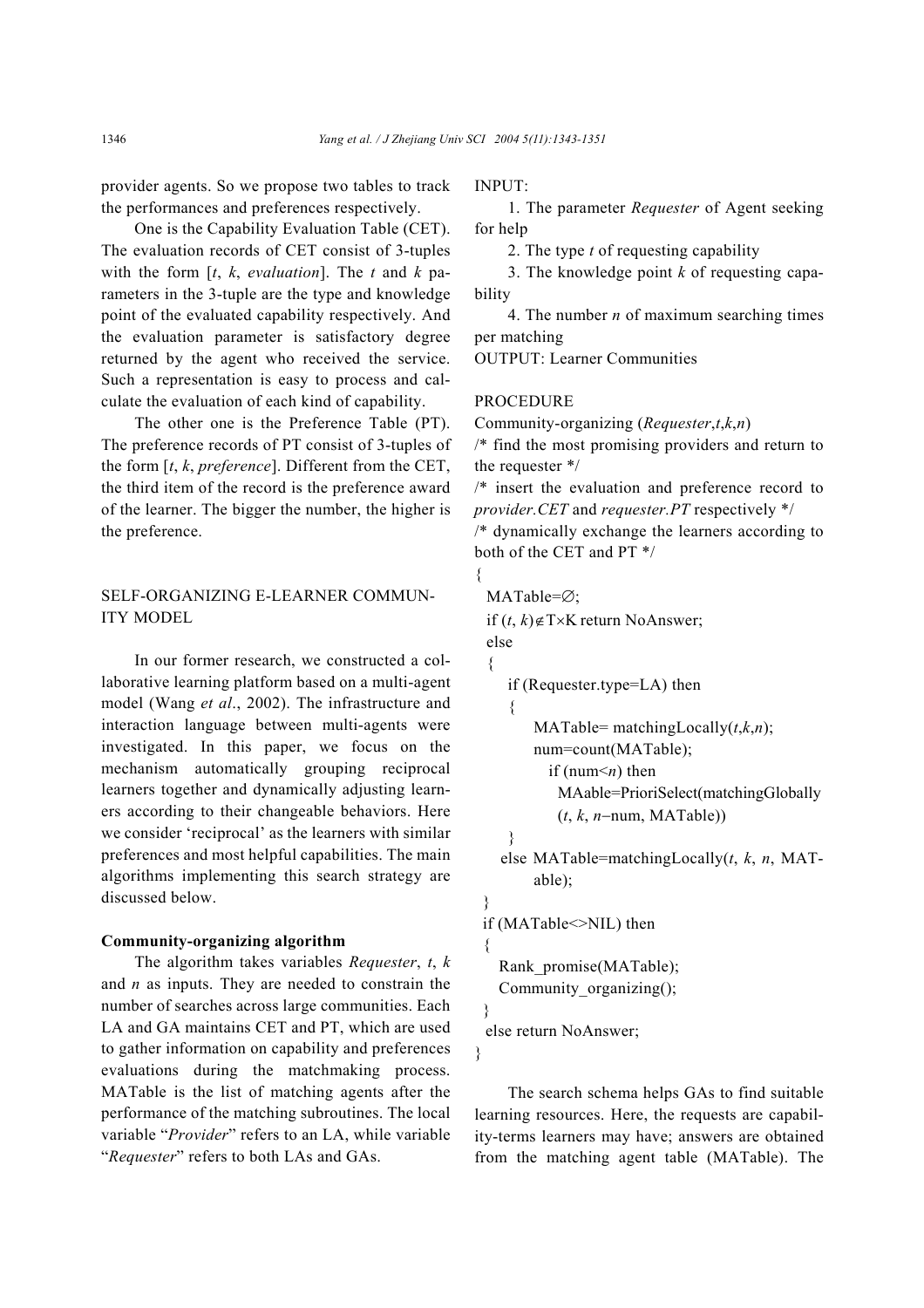provider agents. So we propose two tables to track the performances and preferences respectively.

One is the Capability Evaluation Table (CET). The evaluation records of CET consist of 3-tuples with the form [*t*, *k*, *evaluation*]. The *t* and *k* parameters in the 3-tuple are the type and knowledge point of the evaluated capability respectively. And the evaluation parameter is satisfactory degree returned by the agent who received the service. Such a representation is easy to process and calculate the evaluation of each kind of capability.

The other one is the Preference Table (PT). The preference records of PT consist of 3-tuples of the form [*t*, *k*, *preference*]. Different from the CET, the third item of the record is the preference award of the learner. The bigger the number, the higher is the preference.

# SELF-ORGANIZING E-LEARNER COMMUN-ITY MODEL

In our former research, we constructed a collaborative learning platform based on a multi-agent model (Wang *et al*., 2002). The infrastructure and interaction language between multi-agents were investigated. In this paper, we focus on the mechanism automatically grouping reciprocal learners together and dynamically adjusting learners according to their changeable behaviors. Here we consider 'reciprocal' as the learners with similar preferences and most helpful capabilities. The main algorithms implementing this search strategy are discussed below.

#### **Community-organizing algorithm**

The algorithm takes variables *Requester*, *t*, *k*  and *n* as inputs. They are needed to constrain the number of searches across large communities. Each LA and GA maintains CET and PT, which are used to gather information on capability and preferences evaluations during the matchmaking process. MATable is the list of matching agents after the performance of the matching subroutines. The local variable "*Provider*" refers to an LA, while variable "*Requester*" refers to both LAs and GAs.

INPUT:

1. The parameter *Requester* of Agent seeking for help

2. The type *t* of requesting capability

3. The knowledge point *k* of requesting capability

4. The number *n* of maximum searching times per matching

OUTPUT: Learner Communities

#### PROCEDURE

{

```
Community-organizing (Requester,t,k,n)
```
/\* find the most promising providers and return to the requester \*/

/\* insert the evaluation and preference record to *provider.CET* and *requester.PT* respectively \*/

/\* dynamically exchange the learners according to both of the CET and PT \*/

```
MATable=∅; 
if (t, k)∉T×K return NoAnswer; 
else 
{ 
   if (Requester.type=LA) then 
   { 
       MATable= matchingLocally(t,k,n); 
       num=count(MATable); 
         if (num<n) then 
          MAable=PrioriSelect(matchingGlobally 
          (t, k, n−num, MATable)) 
   } 
  else MATable=matchingLocally(t, k, n, MAT-
       able); 
if (MATable << NIL) then
{ 
  Rank_promise(MATable); 
  Community organizing();
else return NoAnswer;
```

```
}
```
}

}

The search schema helps GAs to find suitable learning resources. Here, the requests are capability-terms learners may have; answers are obtained from the matching agent table (MATable). The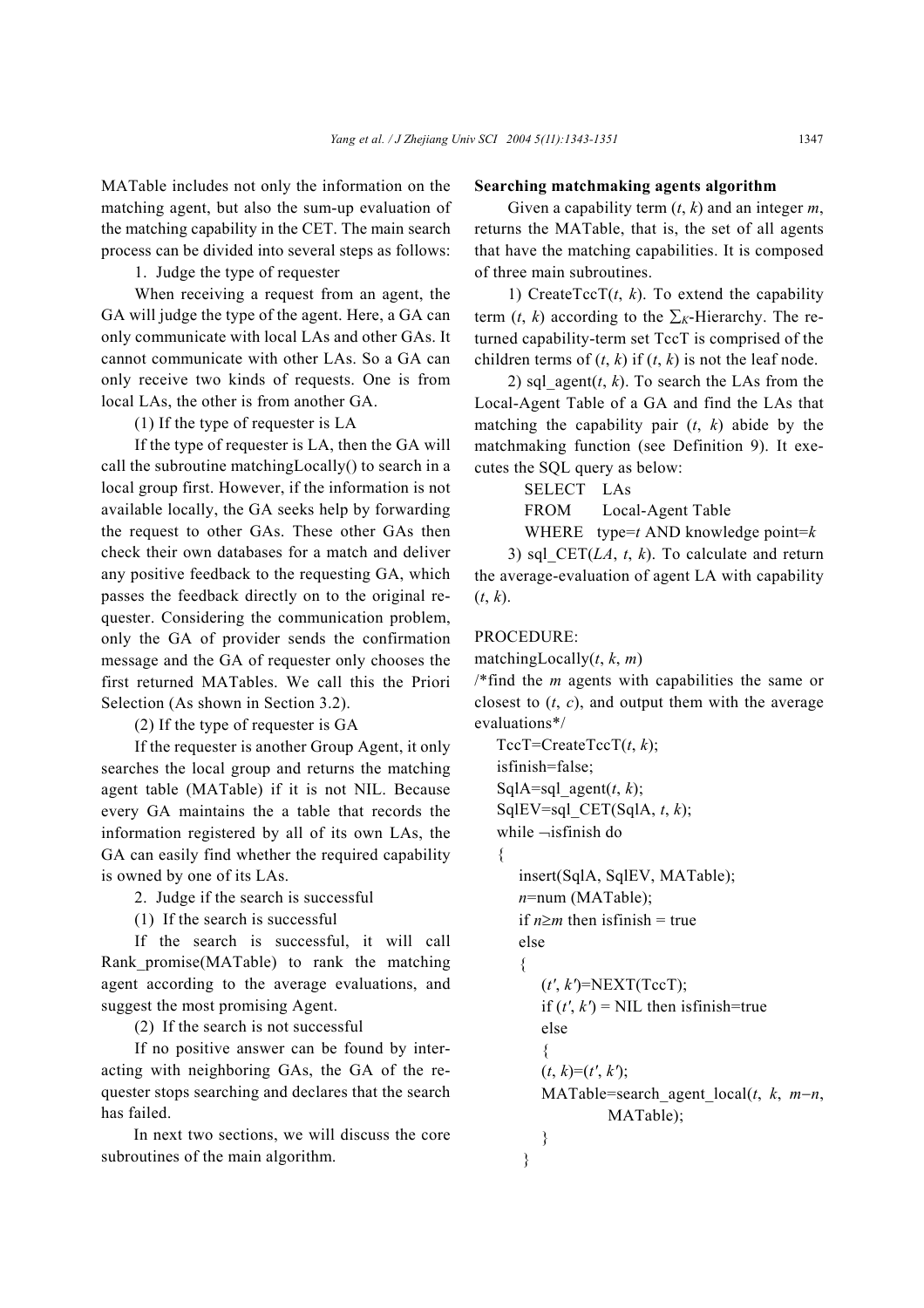MATable includes not only the information on the matching agent, but also the sum-up evaluation of the matching capability in the CET. The main search process can be divided into several steps as follows:

1. Judge the type of requester

When receiving a request from an agent, the GA will judge the type of the agent. Here, a GA can only communicate with local LAs and other GAs. It cannot communicate with other LAs. So a GA can only receive two kinds of requests. One is from local LAs, the other is from another GA.

(1) If the type of requester is LA

If the type of requester is LA, then the GA will call the subroutine matchingLocally() to search in a local group first. However, if the information is not available locally, the GA seeks help by forwarding the request to other GAs. These other GAs then check their own databases for a match and deliver any positive feedback to the requesting GA, which passes the feedback directly on to the original requester. Considering the communication problem, only the GA of provider sends the confirmation message and the GA of requester only chooses the first returned MATables. We call this the Priori Selection (As shown in Section 3.2).

(2) If the type of requester is GA

If the requester is another Group Agent, it only searches the local group and returns the matching agent table (MATable) if it is not NIL. Because every GA maintains the a table that records the information registered by all of its own LAs, the GA can easily find whether the required capability is owned by one of its LAs.

2. Judge if the search is successful

(1) If the search is successful

If the search is successful, it will call Rank promise(MATable) to rank the matching agent according to the average evaluations, and suggest the most promising Agent.

(2) If the search is not successful

If no positive answer can be found by interacting with neighboring GAs, the GA of the requester stops searching and declares that the search has failed.

In next two sections, we will discuss the core subroutines of the main algorithm.

#### **Searching matchmaking agents algorithm**

Given a capability term (*t*, *k*) and an integer *m*, returns the MATable, that is, the set of all agents that have the matching capabilities. It is composed of three main subroutines.

1) CreateTccT $(t, k)$ . To extend the capability term  $(t, k)$  according to the  $\Sigma_K$ -Hierarchy. The returned capability-term set TccT is comprised of the children terms of  $(t, k)$  if  $(t, k)$  is not the leaf node.

2) sql agent( $t$ ,  $k$ ). To search the LAs from the Local-Agent Table of a GA and find the LAs that matching the capability pair (*t*, *k*) abide by the matchmaking function (see Definition 9). It executes the SQL query as below:

SELECT LAs

FROM Local-Agent Table

WHERE type=*t* AND knowledge point=*k*

3) sql\_CET(*LA*, *t*, *k*). To calculate and return the average-evaluation of agent LA with capability (*t*, *k*).

## PROCEDURE:

matchingLocally(*t*, *k*, *m*)

/\*find the *m* agents with capabilities the same or closest to  $(t, c)$ , and output them with the average evaluations\*/

```
TccT=CreateTccT(t, k); 
isfinish=false; 
SqlA=sql agent(t, k);
SqlEV=sql_CET(SqlA, t, k); 
while ¬isfinish do 
{ 
   insert(SqlA, SqlEV, MATable); 
   n=num (MATable); 
   if n \ge m then isfinish = true
   else 
   { 
      (t', k')=NEXT(TccT); 
      if (t', k') = \text{NIL} then isfinish=true
      else 
       { 
      (t, k)=(t', k');
       MATable=search_agent_local(t, k, m−n, 
                 MATable); 
       } 
     }
```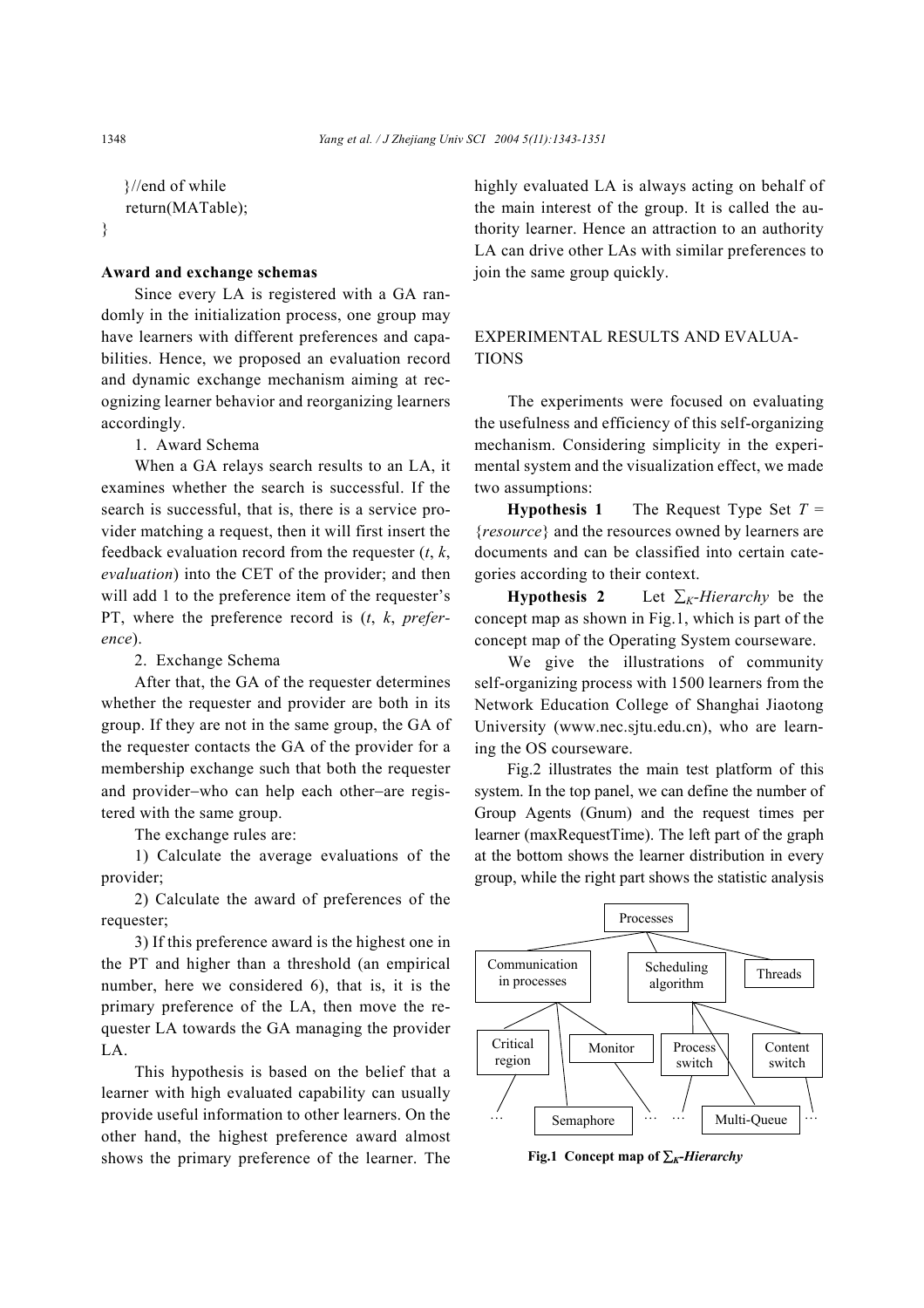```
}//end of while 
return(MATable);
```
#### **Award and exchange schemas**

Since every LA is registered with a GA randomly in the initialization process, one group may have learners with different preferences and capabilities. Hence, we proposed an evaluation record and dynamic exchange mechanism aiming at recognizing learner behavior and reorganizing learners accordingly.

#### 1. Award Schema

When a GA relays search results to an LA, it examines whether the search is successful. If the search is successful, that is, there is a service provider matching a request, then it will first insert the feedback evaluation record from the requester (*t*, *k*, *evaluation*) into the CET of the provider; and then will add 1 to the preference item of the requester's PT, where the preference record is (*t*, *k*, *preference*).

2. Exchange Schema

After that, the GA of the requester determines whether the requester and provider are both in its group. If they are not in the same group, the GA of the requester contacts the GA of the provider for a membership exchange such that both the requester and provider−who can help each other−are registered with the same group.

The exchange rules are:

1) Calculate the average evaluations of the provider;

2) Calculate the award of preferences of the requester;

3) If this preference award is the highest one in the PT and higher than a threshold (an empirical number, here we considered 6), that is, it is the primary preference of the LA, then move the requester LA towards the GA managing the provider LA.

This hypothesis is based on the belief that a learner with high evaluated capability can usually provide useful information to other learners. On the other hand, the highest preference award almost shows the primary preference of the learner. The highly evaluated LA is always acting on behalf of the main interest of the group. It is called the authority learner. Hence an attraction to an authority LA can drive other LAs with similar preferences to join the same group quickly.

## EXPERIMENTAL RESULTS AND EVALUA-**TIONS**

The experiments were focused on evaluating the usefulness and efficiency of this self-organizing mechanism. Considering simplicity in the experimental system and the visualization effect, we made two assumptions:

**Hypothesis 1** The Request Type Set  $T =$ {*resource*} and the resources owned by learners are documents and can be classified into certain categories according to their context.

**Hypothesis 2** Let  $\sum_{k}$ -*Hierarchy* be the concept map as shown in Fig.1, which is part of the concept map of the Operating System courseware.

We give the illustrations of community self-organizing process with 1500 learners from the Network Education College of Shanghai Jiaotong University (www.nec.sjtu.edu.cn), who are learning the OS courseware.

Fig.2 illustrates the main test platform of this system. In the top panel, we can define the number of Group Agents (Gnum) and the request times per learner (maxRequestTime). The left part of the graph at the bottom shows the learner distribution in every group, while the right part shows the statistic analysis



**Fig.1 Concept map of** ∑*K-Hierarchy*

}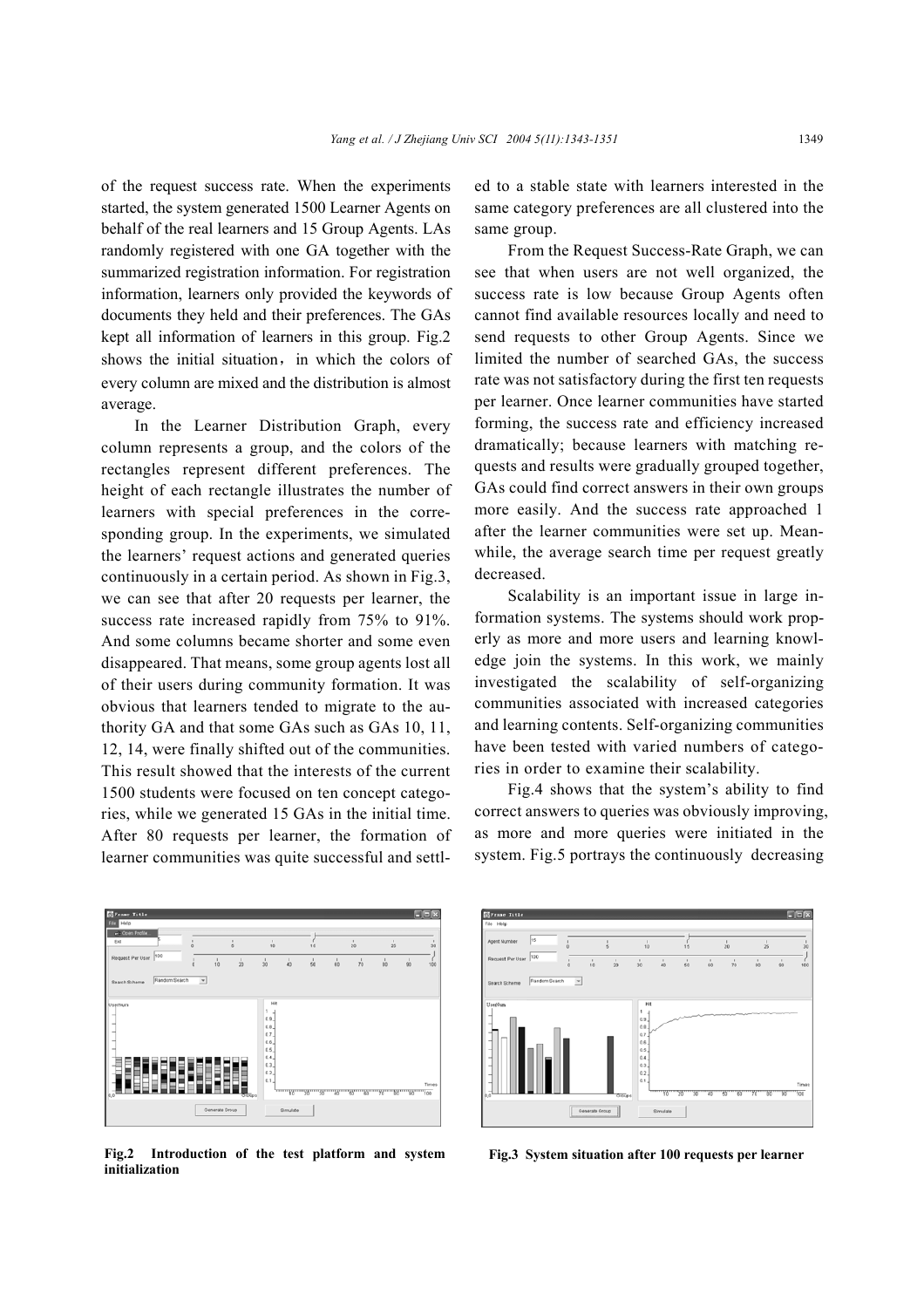of the request success rate. When the experiments started, the system generated 1500 Learner Agents on behalf of the real learners and 15 Group Agents. LAs randomly registered with one GA together with the summarized registration information. For registration information, learners only provided the keywords of documents they held and their preferences. The GAs kept all information of learners in this group. Fig.2 shows the initial situation, in which the colors of every column are mixed and the distribution is almost average.

In the Learner Distribution Graph, every column represents a group, and the colors of the rectangles represent different preferences. The height of each rectangle illustrates the number of learners with special preferences in the corresponding group. In the experiments, we simulated the learners' request actions and generated queries continuously in a certain period. As shown in Fig.3, we can see that after 20 requests per learner, the success rate increased rapidly from 75% to 91%. And some columns became shorter and some even disappeared. That means, some group agents lost all of their users during community formation. It was obvious that learners tended to migrate to the authority GA and that some GAs such as GAs 10, 11, 12, 14, were finally shifted out of the communities. This result showed that the interests of the current 1500 students were focused on ten concept categories, while we generated 15 GAs in the initial time. After 80 requests per learner, the formation of learner communities was quite successful and settled to a stable state with learners interested in the same category preferences are all clustered into the same group.

From the Request Success-Rate Graph, we can see that when users are not well organized, the success rate is low because Group Agents often cannot find available resources locally and need to send requests to other Group Agents. Since we limited the number of searched GAs, the success rate was not satisfactory during the first ten requests per learner. Once learner communities have started forming, the success rate and efficiency increased dramatically; because learners with matching requests and results were gradually grouped together, GAs could find correct answers in their own groups more easily. And the success rate approached 1 after the learner communities were set up. Meanwhile, the average search time per request greatly decreased.

Scalability is an important issue in large information systems. The systems should work properly as more and more users and learning knowledge join the systems. In this work, we mainly investigated the scalability of self-organizing communities associated with increased categories and learning contents. Self-organizing communities have been tested with varied numbers of categories in order to examine their scalability.

Fig.4 shows that the system's ability to find correct answers to queries was obviously improving, as more and more queries were initiated in the system. Fig.5 portrays the continuously decreasing



**Fig.2 Introduction of the test platform and system initialization**



**Fig.3 System situation after 100 requests per learner**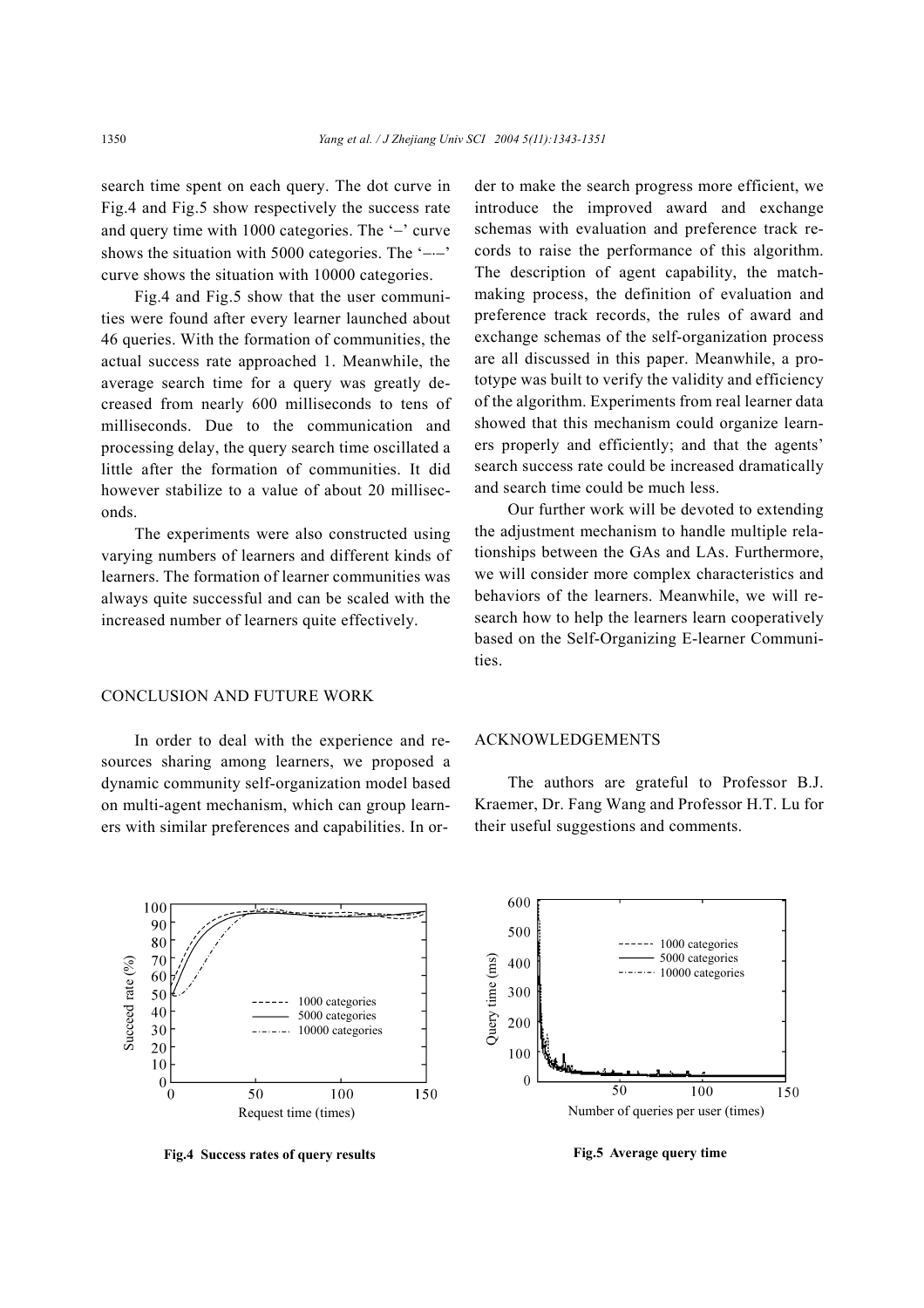search time spent on each query. The dot curve in Fig.4 and Fig.5 show respectively the success rate and query time with 1000 categories. The '−' curve shows the situation with 5000 categories. The '-⋅−' curve shows the situation with 10000 categories.

Fig.4 and Fig.5 show that the user communities were found after every learner launched about 46 queries. With the formation of communities, the actual success rate approached 1. Meanwhile, the average search time for a query was greatly decreased from nearly 600 milliseconds to tens of milliseconds. Due to the communication and processing delay, the query search time oscillated a little after the formation of communities. It did however stabilize to a value of about 20 milliseconds.

The experiments were also constructed using varying numbers of learners and different kinds of learners. The formation of learner communities was always quite successful and can be scaled with the increased number of learners quite effectively.

CONCLUSION AND FUTURE WORK

In order to deal with the experience and resources sharing among learners, we proposed a dynamic community self-organization model based on multi-agent mechanism, which can group learners with similar preferences and capabilities. In order to make the search progress more efficient, we introduce the improved award and exchange schemas with evaluation and preference track records to raise the performance of this algorithm. The description of agent capability, the matchmaking process, the definition of evaluation and preference track records, the rules of award and exchange schemas of the self-organization process are all discussed in this paper. Meanwhile, a prototype was built to verify the validity and efficiency of the algorithm. Experiments from real learner data showed that this mechanism could organize learners properly and efficiently; and that the agents' search success rate could be increased dramatically and search time could be much less.

Our further work will be devoted to extending the adjustment mechanism to handle multiple relationships between the GAs and LAs. Furthermore, we will consider more complex characteristics and behaviors of the learners. Meanwhile, we will research how to help the learners learn cooperatively based on the Self-Organizing E-learner Communities.

## ACKNOWLEDGEMENTS



**Fig.4 Success rates of query results Fig.5 Average query time**

The authors are grateful to Professor B.J. Kraemer, Dr. Fang Wang and Professor H.T. Lu for their useful suggestions and comments.